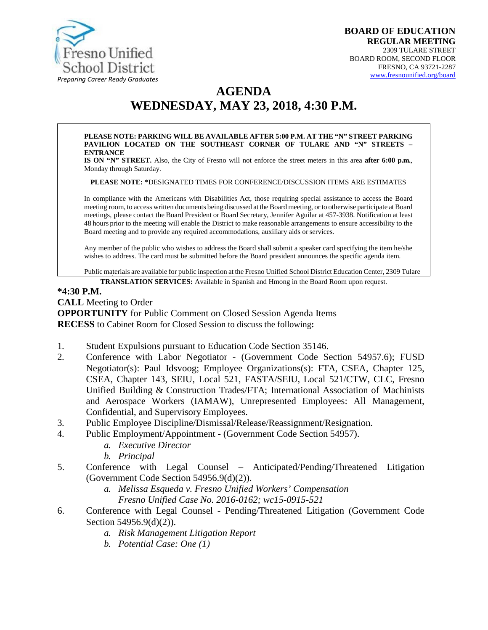

# **AGENDA WEDNESDAY, MAY 23, 2018, 4:30 P.M.**

#### **PLEASE NOTE: PARKING WILL BE AVAILABLE AFTER 5:00 P.M. AT THE "N" STREET PARKING PAVILION LOCATED ON THE SOUTHEAST CORNER OF TULARE AND "N" STREETS – ENTRANCE**

**IS ON "N" STREET.** Also, the City of Fresno will not enforce the street meters in this area **after 6:00 p.m.**, Monday through Saturday.

**PLEASE NOTE: \***DESIGNATED TIMES FOR CONFERENCE/DISCUSSION ITEMS ARE ESTIMATES

In compliance with the Americans with Disabilities Act, those requiring special assistance to access the Board meeting room, to access written documents being discussed at the Board meeting, or to otherwise participate at Board meetings, please contact the Board President or Board Secretary, Jennifer Aguilar at 457-3938. Notification at least 48 hours prior to the meeting will enable the District to make reasonable arrangements to ensure accessibility to the Board meeting and to provide any required accommodations, auxiliary aids or services.

Any member of the public who wishes to address the Board shall submit a speaker card specifying the item he/she wishes to address. The card must be submitted before the Board president announces the specific agenda item.

Public materials are available for public inspection at the Fresno Unified School District Education Center, 2309 Tulare

**TRANSLATION SERVICES:** [Available in Spanish and Hmon](http://www.fresnounified.org/board)g in the Board Room upon request.

#### **\*4:30 P.M.**

**CALL** Meeting to Order

**OPPORTUNITY** for Public Comment on Closed Session Agenda Items **RECESS** to Cabinet Room for Closed Session to discuss the following**:**

- 1. Student Expulsions pursuant to Education Code Section 35146.
- 2. Conference with Labor Negotiator (Government Code Section 54957.6); FUSD Negotiator(s): Paul Idsvoog; Employee Organizations(s): FTA, CSEA, Chapter 125, CSEA, Chapter 143, SEIU, Local 521, FASTA/SEIU, Local 521/CTW, CLC, Fresno Unified Building & Construction Trades/FTA; International Association of Machinists and Aerospace Workers (IAMAW), Unrepresented Employees: All Management, Confidential, and Supervisory Employees.
- 3. Public Employee Discipline/Dismissal/Release/Reassignment/Resignation.
- 4. Public Employment/Appointment (Government Code Section 54957).
	- *a. Executive Director*
	- *b. Principal*
- 5. Conference with Legal Counsel Anticipated/Pending/Threatened Litigation (Government Code Section 54956.9(d)(2)).
	- *a. Melissa Esqueda v. Fresno Unified Workers' Compensation Fresno Unified Case No. 2016-0162; wc15-0915-521*
- 6. Conference with Legal Counsel Pending/Threatened Litigation (Government Code Section 54956.9(d)(2)).
	- *a. Risk Management Litigation Report*
	- *b. Potential Case: One (1)*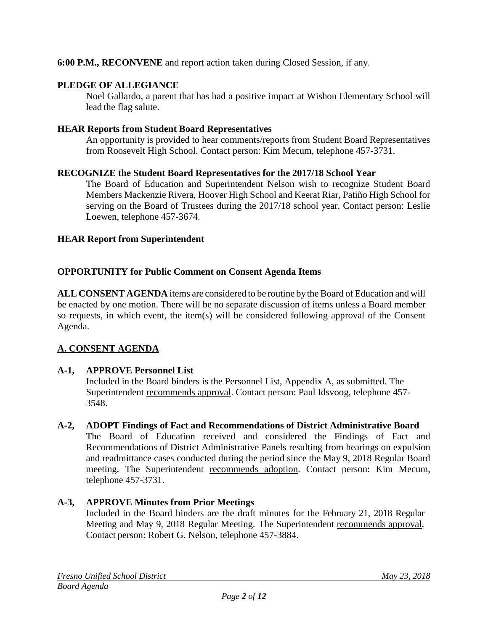### **6:00 P.M., RECONVENE** and report action taken during Closed Session, if any.

### **PLEDGE OF ALLEGIANCE**

Noel Gallardo, a parent that has had a positive impact at Wishon Elementary School will lead the flag salute.

### **HEAR Reports from Student Board Representatives**

An opportunity is provided to hear comments/reports from Student Board Representatives from Roosevelt High School. Contact person: Kim Mecum, telephone 457-3731.

### **RECOGNIZE the Student Board Representatives for the 2017/18 School Year**

The Board of Education and Superintendent Nelson wish to recognize Student Board Members Mackenzie Rivera, Hoover High School and Keerat Riar, Patiño High School for serving on the Board of Trustees during the 2017/18 school year. Contact person: Leslie Loewen, telephone 457-3674.

#### **HEAR Report from Superintendent**

### **OPPORTUNITY for Public Comment on Consent Agenda Items**

**ALL CONSENT AGENDA** items are considered to be routine bythe Board of Education and will be enacted by one motion. There will be no separate discussion of items unless a Board member so requests, in which event, the item(s) will be considered following approval of the Consent Agenda.

### **A. CONSENT AGENDA**

### **A-1, APPROVE Personnel List**

Included in the Board binders is the Personnel List, Appendix A, as submitted. The Superintendent recommends approval. Contact person: Paul Idsvoog, telephone 457- 3548.

#### **A-2, ADOPT Findings of Fact and Recommendations of District Administrative Board**

The Board of Education received and considered the Findings of Fact and Recommendations of District Administrative Panels resulting from hearings on expulsion and readmittance cases conducted during the period since the May 9, 2018 Regular Board meeting. The Superintendent recommends adoption. Contact person: Kim Mecum, telephone 457-3731.

### **A-3, APPROVE Minutes from Prior Meetings**

Included in the Board binders are the draft minutes for the February 21, 2018 Regular Meeting and May 9, 2018 Regular Meeting. The Superintendent recommends approval. Contact person: Robert G. Nelson, telephone 457-3884.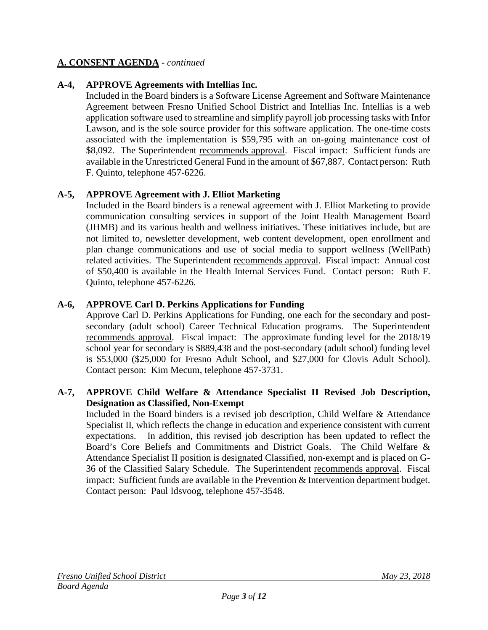### **A-4, APPROVE Agreements with Intellias Inc.**

Included in the Board binders is a Software License Agreement and Software Maintenance Agreement between Fresno Unified School District and Intellias Inc. Intellias is a web application software used to streamline and simplify payroll job processing tasks with Infor Lawson, and is the sole source provider for this software application. The one-time costs associated with the implementation is \$59,795 with an on-going maintenance cost of \$8,092. The Superintendent recommends approval. Fiscal impact: Sufficient funds are available in the Unrestricted General Fund in the amount of \$67,887. Contact person: Ruth F. Quinto, telephone 457-6226.

### **A-5, APPROVE Agreement with J. Elliot Marketing**

Included in the Board binders is a renewal agreement with J. Elliot Marketing to provide communication consulting services in support of the Joint Health Management Board (JHMB) and its various health and wellness initiatives. These initiatives include, but are not limited to, newsletter development, web content development, open enrollment and plan change communications and use of social media to support wellness (WellPath) related activities. The Superintendent recommends approval. Fiscal impact: Annual cost of \$50,400 is available in the Health Internal Services Fund. Contact person: Ruth F. Quinto, telephone 457-6226.

### **A-6, APPROVE Carl D. Perkins Applications for Funding**

Approve Carl D. Perkins Applications for Funding, one each for the secondary and postsecondary (adult school) Career Technical Education programs. The Superintendent recommends approval. Fiscal impact: The approximate funding level for the 2018/19 school year for secondary is \$889,438 and the post-secondary (adult school) funding level is \$53,000 (\$25,000 for Fresno Adult School, and \$27,000 for Clovis Adult School). Contact person: Kim Mecum, telephone 457-3731.

### **A-7, APPROVE Child Welfare & Attendance Specialist II Revised Job Description, Designation as Classified, Non-Exempt**

Included in the Board binders is a revised job description, Child Welfare & Attendance Specialist II, which reflects the change in education and experience consistent with current expectations. In addition, this revised job description has been updated to reflect the Board's Core Beliefs and Commitments and District Goals. The Child Welfare & Attendance Specialist II position is designated Classified, non-exempt and is placed on G-36 of the Classified Salary Schedule. The Superintendent recommends approval. Fiscal impact: Sufficient funds are available in the Prevention & Intervention department budget. Contact person: Paul Idsvoog, telephone 457-3548.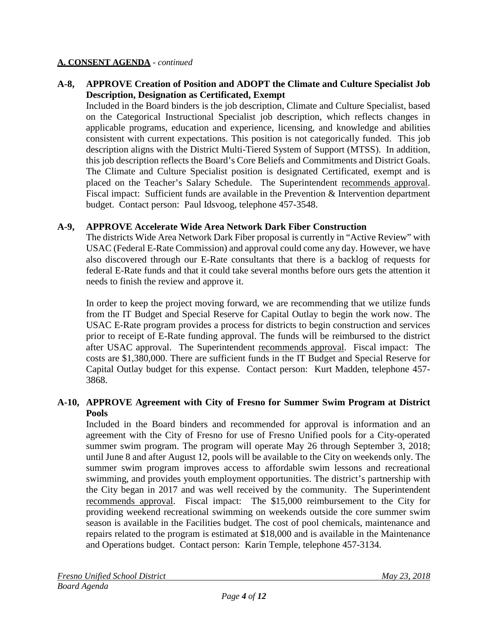### **A-8, APPROVE Creation of Position and ADOPT the Climate and Culture Specialist Job Description, Designation as Certificated, Exempt**

Included in the Board binders is the job description, Climate and Culture Specialist, based on the Categorical Instructional Specialist job description, which reflects changes in applicable programs, education and experience, licensing, and knowledge and abilities consistent with current expectations. This position is not categorically funded. This job description aligns with the District Multi-Tiered System of Support (MTSS). In addition, this job description reflects the Board's Core Beliefs and Commitments and District Goals. The Climate and Culture Specialist position is designated Certificated, exempt and is placed on the Teacher's Salary Schedule. The Superintendent recommends approval. Fiscal impact: Sufficient funds are available in the Prevention & Intervention department budget. Contact person: Paul Idsvoog, telephone 457-3548.

### **A-9, APPROVE Accelerate Wide Area Network Dark Fiber Construction**

The districts Wide Area Network Dark Fiber proposal is currently in "Active Review" with USAC (Federal E-Rate Commission) and approval could come any day. However, we have also discovered through our E-Rate consultants that there is a backlog of requests for federal E-Rate funds and that it could take several months before ours gets the attention it needs to finish the review and approve it.

In order to keep the project moving forward, we are recommending that we utilize funds from the IT Budget and Special Reserve for Capital Outlay to begin the work now. The USAC E-Rate program provides a process for districts to begin construction and services prior to receipt of E-Rate funding approval. The funds will be reimbursed to the district after USAC approval. The Superintendent recommends approval. Fiscal impact: The costs are \$1,380,000. There are sufficient funds in the IT Budget and Special Reserve for Capital Outlay budget for this expense. Contact person: Kurt Madden, telephone 457- 3868.

### **A-10, APPROVE Agreement with City of Fresno for Summer Swim Program at District Pools**

Included in the Board binders and recommended for approval is information and an agreement with the City of Fresno for use of Fresno Unified pools for a City-operated summer swim program. The program will operate May 26 through September 3, 2018; until June 8 and after August 12, pools will be available to the City on weekends only. The summer swim program improves access to affordable swim lessons and recreational swimming, and provides youth employment opportunities. The district's partnership with the City began in 2017 and was well received by the community. The Superintendent recommends approval. Fiscal impact: The \$15,000 reimbursement to the City for providing weekend recreational swimming on weekends outside the core summer swim season is available in the Facilities budget. The cost of pool chemicals, maintenance and repairs related to the program is estimated at \$18,000 and is available in the Maintenance and Operations budget. Contact person: Karin Temple, telephone 457-3134.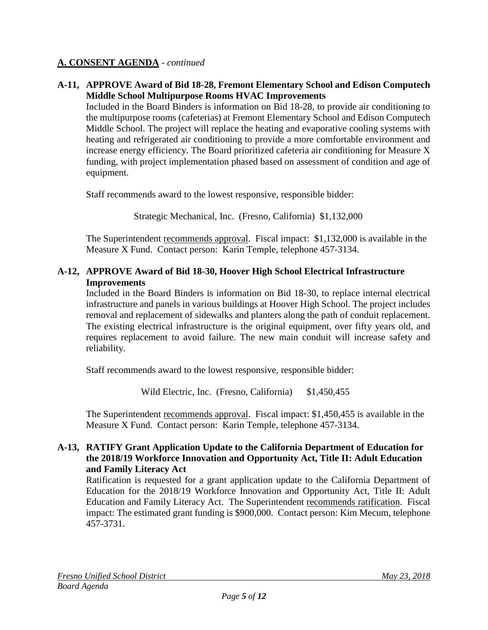### **A-11, APPROVE Award of Bid 18-28, Fremont Elementary School and Edison Computech Middle School Multipurpose Rooms HVAC Improvements**

Included in the Board Binders is information on Bid 18-28, to provide air conditioning to the multipurpose rooms (cafeterias) at Fremont Elementary School and Edison Computech Middle School. The project will replace the heating and evaporative cooling systems with heating and refrigerated air conditioning to provide a more comfortable environment and increase energy efficiency. The Board prioritized cafeteria air conditioning for Measure X funding, with project implementation phased based on assessment of condition and age of equipment.

Staff recommends award to the lowest responsive, responsible bidder:

Strategic Mechanical, Inc. (Fresno, California) \$1,132,000

The Superintendent recommends approval. Fiscal impact:\$1,132,000 is available in the Measure X Fund. Contact person: Karin Temple, telephone 457-3134.

### **A-12, APPROVE Award of Bid 18-30, Hoover High School Electrical Infrastructure Improvements**

Included in the Board Binders is information on Bid 18-30, to replace internal electrical infrastructure and panels in various buildings at Hoover High School. The project includes removal and replacement of sidewalks and planters along the path of conduit replacement. The existing electrical infrastructure is the original equipment, over fifty years old, and requires replacement to avoid failure. The new main conduit will increase safety and reliability.

Staff recommends award to the lowest responsive, responsible bidder:

Wild Electric, Inc. (Fresno, California) \$1,450,455

The Superintendent recommends approval. Fiscal impact: \$1,450,455 is available in the Measure X Fund. Contact person: Karin Temple, telephone 457-3134.

### **A-13, RATIFY Grant Application Update to the California Department of Education for the 2018/19 Workforce Innovation and Opportunity Act, Title II: Adult Education and Family Literacy Act**

Ratification is requested for a grant application update to the California Department of Education for the 2018/19 Workforce Innovation and Opportunity Act, Title II: Adult Education and Family Literacy Act. The Superintendent recommends ratification. Fiscal impact: The estimated grant funding is \$900,000. Contact person: Kim Mecum, telephone 457-3731.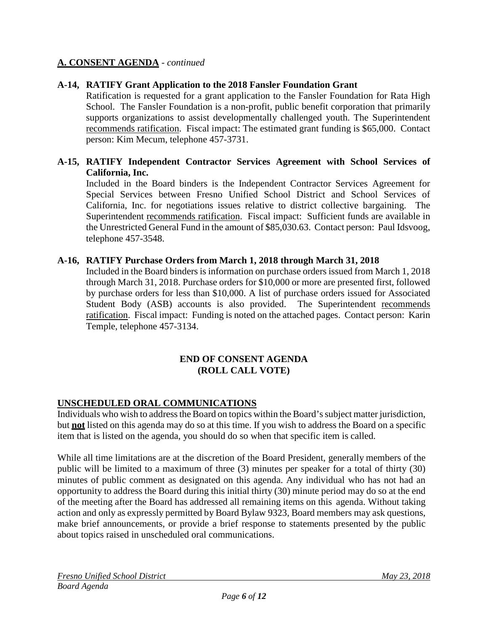### **A-14, RATIFY Grant Application to the 2018 Fansler Foundation Grant**

Ratification is requested for a grant application to the Fansler Foundation for Rata High School. The Fansler Foundation is a non-profit, public benefit corporation that primarily supports organizations to assist developmentally challenged youth. The Superintendent recommends ratification. Fiscal impact: The estimated grant funding is \$65,000. Contact person: Kim Mecum, telephone 457-3731.

### **A-15, RATIFY Independent Contractor Services Agreement with School Services of California, Inc.**

Included in the Board binders is the Independent Contractor Services Agreement for Special Services between Fresno Unified School District and School Services of California, Inc. for negotiations issues relative to district collective bargaining. The Superintendent recommends ratification. Fiscal impact: Sufficient funds are available in the Unrestricted General Fund in the amount of \$85,030.63. Contact person: Paul Idsvoog, telephone 457-3548.

### **A-16, RATIFY Purchase Orders from March 1, 2018 through March 31, 2018**

Included in the Board binders is information on purchase orders issued from March 1, 2018 through March 31, 2018. Purchase orders for \$10,000 or more are presented first, followed by purchase orders for less than \$10,000. A list of purchase orders issued for Associated Student Body (ASB) accounts is also provided. The Superintendent recommends ratification. Fiscal impact: Funding is noted on the attached pages. Contact person: Karin Temple, telephone 457-3134.

#### **END OF CONSENT AGENDA (ROLL CALL VOTE)**

### **UNSCHEDULED ORAL COMMUNICATIONS**

Individuals who wish to address the Board on topics within the Board's subject matter jurisdiction, but **not** listed on this agenda may do so at this time. If you wish to address the Board on a specific item that is listed on the agenda, you should do so when that specific item is called.

While all time limitations are at the discretion of the Board President, generally members of the public will be limited to a maximum of three (3) minutes per speaker for a total of thirty (30) minutes of public comment as designated on this agenda. Any individual who has not had an opportunity to address the Board during this initial thirty (30) minute period may do so at the end of the meeting after the Board has addressed all remaining items on this agenda. Without taking action and only as expressly permitted by Board Bylaw 9323, Board members may ask questions, make brief announcements, or provide a brief response to statements presented by the public about topics raised in unscheduled oral communications.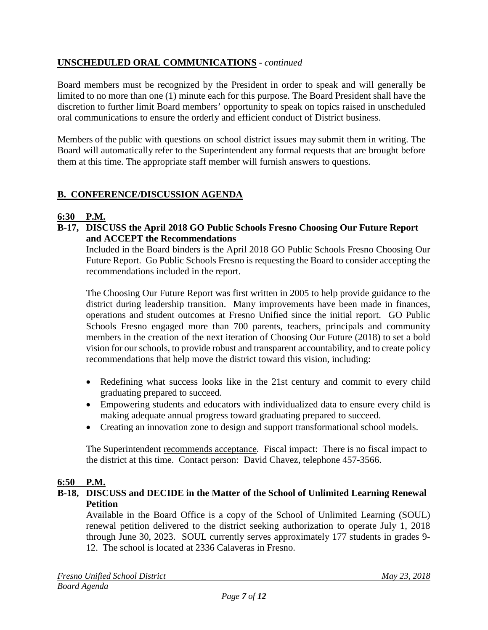### **UNSCHEDULED ORAL COMMUNICATIONS** - *continued*

Board members must be recognized by the President in order to speak and will generally be limited to no more than one (1) minute each for this purpose. The Board President shall have the discretion to further limit Board members' opportunity to speak on topics raised in unscheduled oral communications to ensure the orderly and efficient conduct of District business.

Members of the public with questions on school district issues may submit them in writing. The Board will automatically refer to the Superintendent any formal requests that are brought before them at this time. The appropriate staff member will furnish answers to questions.

### **B. CONFERENCE/DISCUSSION AGENDA**

### **6:30 P.M.**

**B-17, DISCUSS the April 2018 GO Public Schools Fresno Choosing Our Future Report and ACCEPT the Recommendations**

Included in the Board binders is the April 2018 GO Public Schools Fresno Choosing Our Future Report. Go Public Schools Fresno is requesting the Board to consider accepting the recommendations included in the report.

The Choosing Our Future Report was first written in 2005 to help provide guidance to the district during leadership transition. Many improvements have been made in finances, operations and student outcomes at Fresno Unified since the initial report. GO Public Schools Fresno engaged more than 700 parents, teachers, principals and community members in the creation of the next iteration of Choosing Our Future (2018) to set a bold vision for our schools, to provide robust and transparent accountability, and to create policy recommendations that help move the district toward this vision, including:

- Redefining what success looks like in the 21st century and commit to every child graduating prepared to succeed.
- Empowering students and educators with individualized data to ensure every child is making adequate annual progress toward graduating prepared to succeed.
- Creating an innovation zone to design and support transformational school models.

The Superintendent recommends acceptance. Fiscal impact: There is no fiscal impact to the district at this time. Contact person: David Chavez, telephone 457-3566.

### **6:50 P.M.**

### **B-18, DISCUSS and DECIDE in the Matter of the School of Unlimited Learning Renewal Petition**

Available in the Board Office is a copy of the School of Unlimited Learning (SOUL) renewal petition delivered to the district seeking authorization to operate July 1, 2018 through June 30, 2023. SOUL currently serves approximately 177 students in grades 9- 12. The school is located at 2336 Calaveras in Fresno.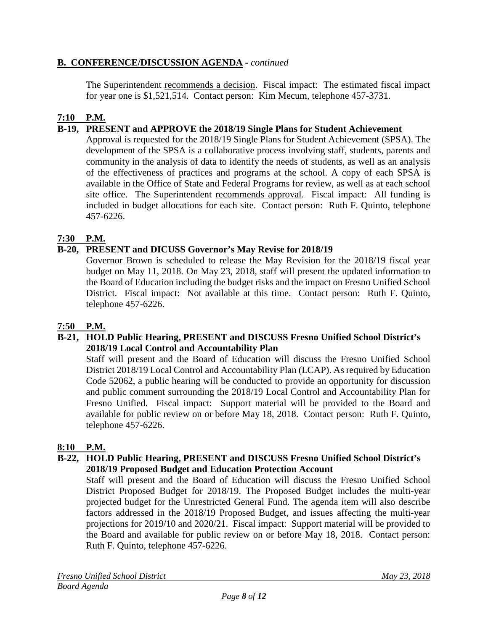### **B. CONFERENCE/DISCUSSION AGENDA -** *continued*

The Superintendent recommends a decision. Fiscal impact: The estimated fiscal impact for year one is \$1,521,514. Contact person: Kim Mecum, telephone 457-3731.

## **7:10 P.M.**

### **B-19, PRESENT and APPROVE the 2018/19 Single Plans for Student Achievement**

Approval is requested for the 2018/19 Single Plans for Student Achievement (SPSA). The development of the SPSA is a collaborative process involving staff, students, parents and community in the analysis of data to identify the needs of students, as well as an analysis of the effectiveness of practices and programs at the school. A copy of each SPSA is available in the Office of State and Federal Programs for review, as well as at each school site office. The Superintendent recommends approval. Fiscal impact: All funding is included in budget allocations for each site. Contact person: Ruth F. Quinto, telephone 457-6226.

### **7:30 P.M.**

### **B-20, PRESENT and DICUSS Governor's May Revise for 2018/19**

Governor Brown is scheduled to release the May Revision for the 2018/19 fiscal year budget on May 11, 2018. On May 23, 2018, staff will present the updated information to the Board of Education including the budget risks and the impact on Fresno Unified School District. Fiscal impact: Not available at this time. Contact person: Ruth F. Quinto, telephone 457-6226.

### **7:50 P.M.**

### **B-21, HOLD Public Hearing, PRESENT and DISCUSS Fresno Unified School District's 2018/19 Local Control and Accountability Plan**

Staff will present and the Board of Education will discuss the Fresno Unified School District 2018/19 Local Control and Accountability Plan (LCAP). As required by Education Code 52062, a public hearing will be conducted to provide an opportunity for discussion and public comment surrounding the 2018/19 Local Control and Accountability Plan for Fresno Unified. Fiscal impact: Support material will be provided to the Board and available for public review on or before May 18, 2018. Contact person: Ruth F. Quinto, telephone 457-6226.

### **8:10 P.M.**

#### **B-22, HOLD Public Hearing, PRESENT and DISCUSS Fresno Unified School District's 2018/19 Proposed Budget and Education Protection Account**

Staff will present and the Board of Education will discuss the Fresno Unified School District Proposed Budget for 2018/19. The Proposed Budget includes the multi-year projected budget for the Unrestricted General Fund. The agenda item will also describe factors addressed in the 2018/19 Proposed Budget, and issues affecting the multi-year projections for 2019/10 and 2020/21. Fiscal impact: Support material will be provided to the Board and available for public review on or before May 18, 2018. Contact person: Ruth F. Quinto, telephone 457-6226.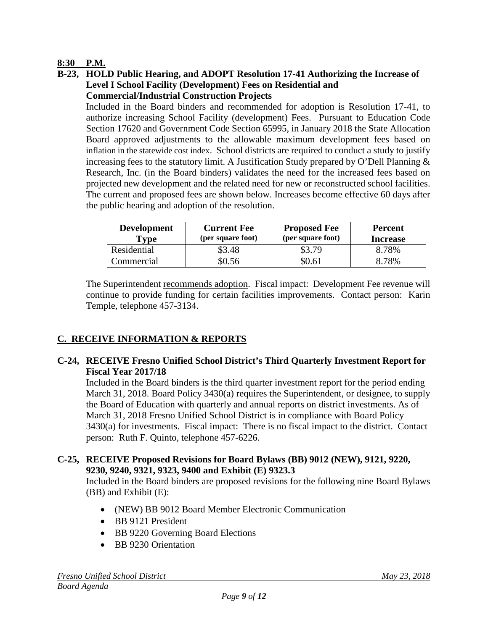### **8:30 P.M.**

**B-23, HOLD Public Hearing, and ADOPT Resolution 17-41 Authorizing the Increase of Level I School Facility (Development) Fees on Residential and Commercial/Industrial Construction Projects**

Included in the Board binders and recommended for adoption is Resolution 17-41, to authorize increasing School Facility (development) Fees. Pursuant to Education Code Section 17620 and Government Code Section 65995, in January 2018 the State Allocation Board approved adjustments to the allowable maximum development fees based on inflation in the statewide cost index. School districts are required to conduct a study to justify increasing fees to the statutory limit. A Justification Study prepared by O'Dell Planning  $\&$ Research, Inc. (in the Board binders) validates the need for the increased fees based on projected new development and the related need for new or reconstructed school facilities. The current and proposed fees are shown below. Increases become effective 60 days after the public hearing and adoption of the resolution.

| <b>Development</b><br>Type | <b>Current Fee</b><br>(per square foot) | <b>Proposed Fee</b><br>(per square foot) | <b>Percent</b><br><b>Increase</b> |
|----------------------------|-----------------------------------------|------------------------------------------|-----------------------------------|
| Residential                | 53.48                                   | \$3.79                                   | 8.78%                             |
| Commercial                 |                                         | \$0.61                                   | 8.78%                             |

The Superintendent recommends adoption. Fiscal impact: Development Fee revenue will continue to provide funding for certain facilities improvements. Contact person: Karin Temple, telephone 457-3134.

## **C. RECEIVE INFORMATION & REPORTS**

### **C-24, RECEIVE Fresno Unified School District's Third Quarterly Investment Report for Fiscal Year 2017/18**

Included in the Board binders is the third quarter investment report for the period ending March 31, 2018. Board Policy 3430(a) requires the Superintendent, or designee, to supply the Board of Education with quarterly and annual reports on district investments. As of March 31, 2018 Fresno Unified School District is in compliance with Board Policy 3430(a) for investments. Fiscal impact: There is no fiscal impact to the district. Contact person: Ruth F. Quinto, telephone 457-6226.

### **C-25, RECEIVE Proposed Revisions for Board Bylaws (BB) 9012 (NEW), 9121, 9220, 9230, 9240, 9321, 9323, 9400 and Exhibit (E) 9323.3**

Included in the Board binders are proposed revisions for the following nine Board Bylaws (BB) and Exhibit (E):

- (NEW) BB 9012 Board Member Electronic Communication
- BB 9121 President
- BB 9220 Governing Board Elections
- BB 9230 Orientation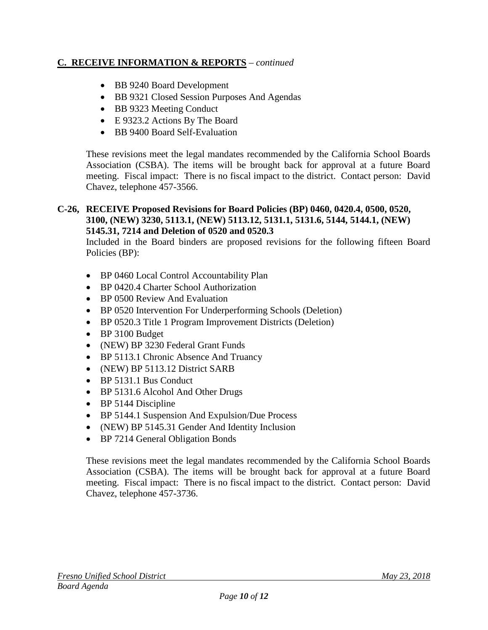### **C. RECEIVE INFORMATION & REPORTS** – *continued*

- BB 9240 Board Development
- BB 9321 Closed Session Purposes And Agendas
- BB 9323 Meeting Conduct
- E 9323.2 Actions By The Board
- BB 9400 Board Self-Evaluation

These revisions meet the legal mandates recommended by the California School Boards Association (CSBA). The items will be brought back for approval at a future Board meeting. Fiscal impact: There is no fiscal impact to the district. Contact person: David Chavez, telephone 457-3566.

#### **C-26, RECEIVE Proposed Revisions for Board Policies (BP) 0460, 0420.4, 0500, 0520, 3100, (NEW) 3230, 5113.1, (NEW) 5113.12, 5131.1, 5131.6, 5144, 5144.1, (NEW) 5145.31, 7214 and Deletion of 0520 and 0520.3**

Included in the Board binders are proposed revisions for the following fifteen Board Policies (BP):

- BP 0460 Local Control Accountability Plan
- BP 0420.4 Charter School Authorization
- BP 0500 Review And Evaluation
- BP 0520 Intervention For Underperforming Schools (Deletion)
- BP 0520.3 Title 1 Program Improvement Districts (Deletion)
- BP 3100 Budget
- (NEW) BP 3230 Federal Grant Funds
- BP 5113.1 Chronic Absence And Truancy
- (NEW) BP 5113.12 District SARB
- BP 5131.1 Bus Conduct
- BP 5131.6 Alcohol And Other Drugs
- BP 5144 Discipline
- BP 5144.1 Suspension And Expulsion/Due Process
- (NEW) BP 5145.31 Gender And Identity Inclusion
- BP 7214 General Obligation Bonds

These revisions meet the legal mandates recommended by the California School Boards Association (CSBA). The items will be brought back for approval at a future Board meeting. Fiscal impact: There is no fiscal impact to the district. Contact person: David Chavez, telephone 457-3736.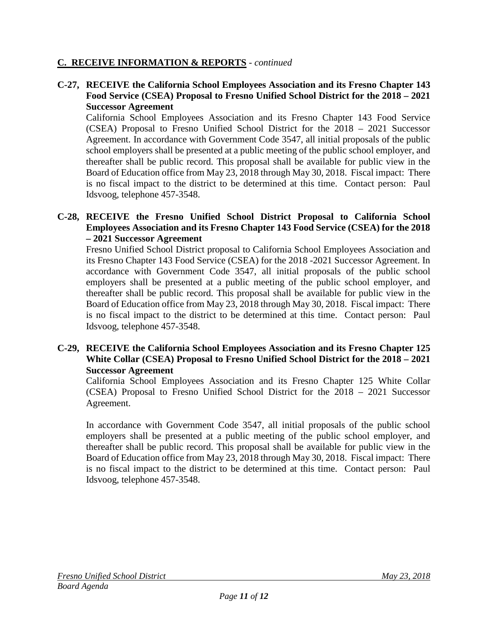### **C. RECEIVE INFORMATION & REPORTS** - *continued*

### **C-27, RECEIVE the California School Employees Association and its Fresno Chapter 143 Food Service (CSEA) Proposal to Fresno Unified School District for the 2018 – 2021 Successor Agreement**

California School Employees Association and its Fresno Chapter 143 Food Service (CSEA) Proposal to Fresno Unified School District for the 2018 – 2021 Successor Agreement. In accordance with Government Code 3547, all initial proposals of the public school employers shall be presented at a public meeting of the public school employer, and thereafter shall be public record. This proposal shall be available for public view in the Board of Education office from May 23, 2018 through May 30, 2018. Fiscal impact: There is no fiscal impact to the district to be determined at this time. Contact person: Paul Idsvoog, telephone 457-3548.

### **C-28, RECEIVE the Fresno Unified School District Proposal to California School Employees Association and its Fresno Chapter 143 Food Service (CSEA) for the 2018 – 2021 Successor Agreement**

Fresno Unified School District proposal to California School Employees Association and its Fresno Chapter 143 Food Service (CSEA) for the 2018 -2021 Successor Agreement. In accordance with Government Code 3547, all initial proposals of the public school employers shall be presented at a public meeting of the public school employer, and thereafter shall be public record. This proposal shall be available for public view in the Board of Education office from May 23, 2018 through May 30, 2018. Fiscal impact: There is no fiscal impact to the district to be determined at this time. Contact person: Paul Idsvoog, telephone 457-3548.

### **C-29, RECEIVE the California School Employees Association and its Fresno Chapter 125 White Collar (CSEA) Proposal to Fresno Unified School District for the 2018 – 2021 Successor Agreement**

California School Employees Association and its Fresno Chapter 125 White Collar (CSEA) Proposal to Fresno Unified School District for the 2018 – 2021 Successor Agreement.

In accordance with Government Code 3547, all initial proposals of the public school employers shall be presented at a public meeting of the public school employer, and thereafter shall be public record. This proposal shall be available for public view in the Board of Education office from May 23, 2018 through May 30, 2018. Fiscal impact: There is no fiscal impact to the district to be determined at this time. Contact person: Paul Idsvoog, telephone 457-3548.